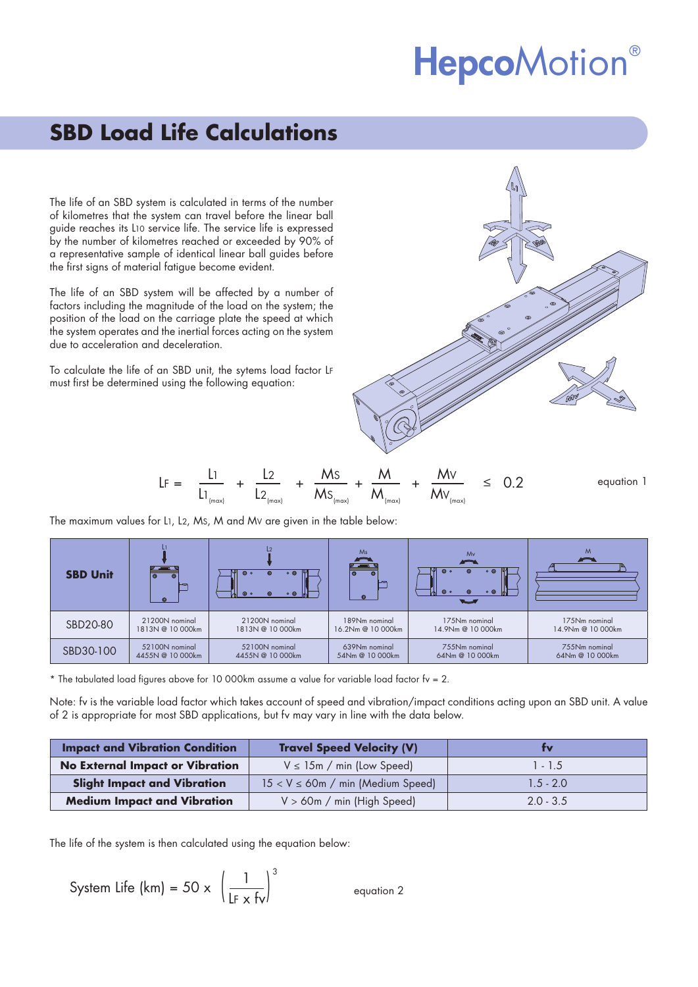# **HepcoMotion®**

# **SBD Load Life Calculations**

The life of an SBD system is calculated in terms of the number of kilometres that the system can travel before the linear ball guide reaches its L10 service life. The service life is expressed by the number of kilometres reached or exceeded by 90% of a representative sample of identical linear ball guides before the first signs of material fatigue become evident.

The life of an SBD system will be affected by a number of factors including the magnitude of the load on the system; the position of the load on the carriage plate the speed at which the system operates and the inertial forces acting on the system due to acceleration and deceleration.

To calculate the life of an SBD unit, the sytems load factor LF must first be determined using the following equation:



The maximum values for L1, L2, MS, M and MV are given in the table below:

| <b>SBD Unit</b> | ──<br>$\circ$<br>$\circ$<br>$\circ$ | $\circ$<br>$\circ$ $\circ$<br>$\odot$<br>$\circ$<br>$\circ$ $\circ$<br>$\circledcirc$ | Ms<br>$\circ$<br>෧ | Mv<br>$\overline{\phantom{a}}$<br>$\circ$ $\circ$<br>$\circ$<br>⊚<br>$\circ$ $\circ$<br>$\odot$<br><b>Q</b> o | M<br>$\sqrt{2}$   |
|-----------------|-------------------------------------|---------------------------------------------------------------------------------------|--------------------|---------------------------------------------------------------------------------------------------------------|-------------------|
| SBD20-80        | 21200N nominal                      | 21200N nominal                                                                        | 189Nm nominal      | 175Nm nominal                                                                                                 | 175Nm nominal     |
|                 | 1813N @ 10 000km                    | 1813N @ 10 000km                                                                      | 16.2Nm @ 10 000km  | 14.9Nm @ 10 000km                                                                                             | 14.9Nm @ 10 000km |
| SBD30-100       | 52100N nominal                      | 52100N nominal                                                                        | 639Nm nominal      | 755Nm nominal                                                                                                 | 755Nm nominal     |
|                 | 4455N @ 10 000km                    | 4455N @ 10 000km                                                                      | 54Nm @ 10 000km    | 64Nm @ 10 000km                                                                                               | 64Nm @ 10 000km   |

\* The tabulated load figures above for 10 000km assume a value for variable load factor fv = 2.

Note: fv is the variable load factor which takes account of speed and vibration/impact conditions acting upon an SBD unit. A value of 2 is appropriate for most SBD applications, but fv may vary in line with the data below.

| <b>Impact and Vibration Condition</b>  | <b>Travel Speed Velocity (V)</b>        | tv          |
|----------------------------------------|-----------------------------------------|-------------|
| <b>No External Impact or Vibration</b> | $V \leq 15m$ / min (Low Speed)          | $1 - 1.5$   |
| <b>Slight Impact and Vibration</b>     | $15 < V \leq 60$ m / min (Medium Speed) | $1.5 - 2.0$ |
| <b>Medium Impact and Vibration</b>     | $V > 60m / min$ (High Speed)            | $2.0 - 3.5$ |

The life of the system is then calculated using the equation below:

System Life (km) = 50 x 
$$
\left(\frac{1}{\lfloor F \times f_V \rfloor}\right)^3
$$
 *equation 2*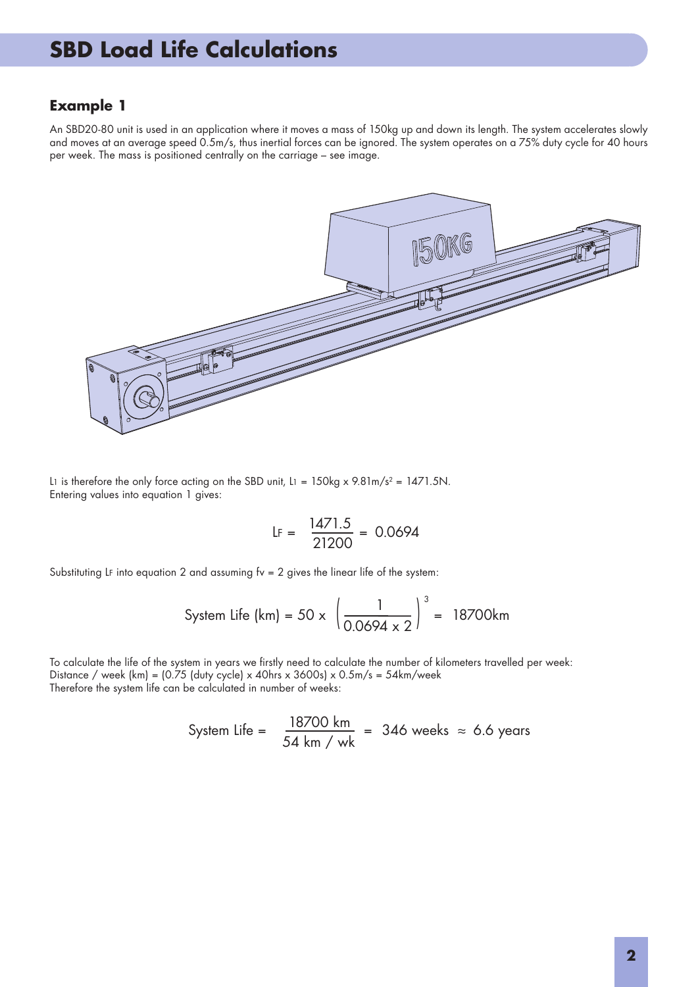#### **Example 1**

An SBD20-80 unit is used in an application where it moves a mass of 150kg up and down its length. The system accelerates slowly and moves at an average speed 0.5m/s, thus inertial forces can be ignored. The system operates on a 75% duty cycle for 40 hours per week. The mass is positioned centrally on the carriage – see image.



L1 is therefore the only force acting on the SBD unit, L1 =  $150\text{kg} \times 9.81 \text{m/s}^2 = 1471.5 \text{N}$ . Entering values into equation 1 gives:

$$
LF = \frac{1471.5}{21200} = 0.0694
$$

Substituting LF into equation 2 and assuming  $fv = 2$  gives the linear life of the system:

System Life (km) = 50 x 
$$
\left(\frac{1}{0.0694 \times 2}\right)^3
$$
 = 18700km

To calculate the life of the system in years we firstly need to calculate the number of kilometers travelled per week: Distance / week  $(km) = \frac{0.75}{duty\ cycle} \times 40hrs \times 3600s \times 0.5m/s = 54km/week$ Therefore the system life can be calculated in number of weeks:

System Life = 
$$
\frac{18700 \text{ km}}{54 \text{ km}} = 346 \text{ weeks} \approx 6.6 \text{ years}
$$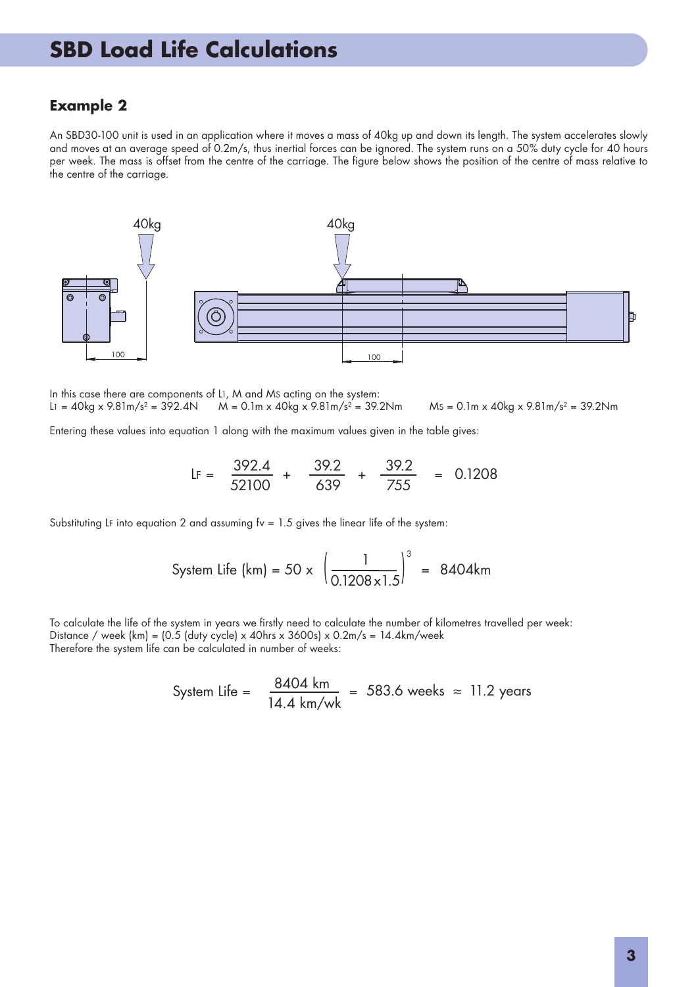#### **Example 2**

An SBD30-100 unit is used in an application where it moves a mass of 40kg up and down its length. The system accelerates slowly and moves at an average speed of 0.2m/s, thus inertial forces can be ignored. The system runs on a 50% duty cycle for 40 hours per week. The mass is offset from the centre of the carriage. The figure below shows the position of the centre of mass relative to the centre of the carriage.



In this case there are components of L1, M and MS acting on the system:

 $L_1 = 40 \text{kg} \times 9.81 \text{m/s}^2 = 392.4 \text{N}$   $M = 0.1 \text{m} \times 40 \text{kg} \times 9.81 \text{m/s}^2 = 39.2 \text{N} \text{m}$   $Ms = 0.1 \text{m} \times 40 \text{kg} \times 9.81 \text{m/s}^2 = 39.2 \text{N} \text{m}$ 

Entering these values into equation 1 along with the maximum values given in the table gives:

$$
LF = \frac{392.4}{52100} + \frac{39.2}{639} + \frac{39.2}{755} = 0.1208
$$

Substituting LF into equation 2 and assuming  $fv = 1.5$  gives the linear life of the system:

System Life (km) = 50 x 
$$
\left(\frac{1}{0.1208 \times 1.5}\right)^3
$$
 = 8404km

To calculate the life of the system in years we firstly need to calculate the number of kilometres travelled per week: Distance / week  $(km) = \{0.5 \text{ (duty cycle)} \times 40\text{ hrs} \times 3600\text{s} \} \times 0.2\text{m/s} = 14.4\text{km/week}$ Therefore the system life can be calculated in number of weeks:

System Life = 
$$
\frac{8404 \text{ km}}{14.4 \text{ km/wk}} = 583.6 \text{ weeks} \approx 11.2 \text{ years}
$$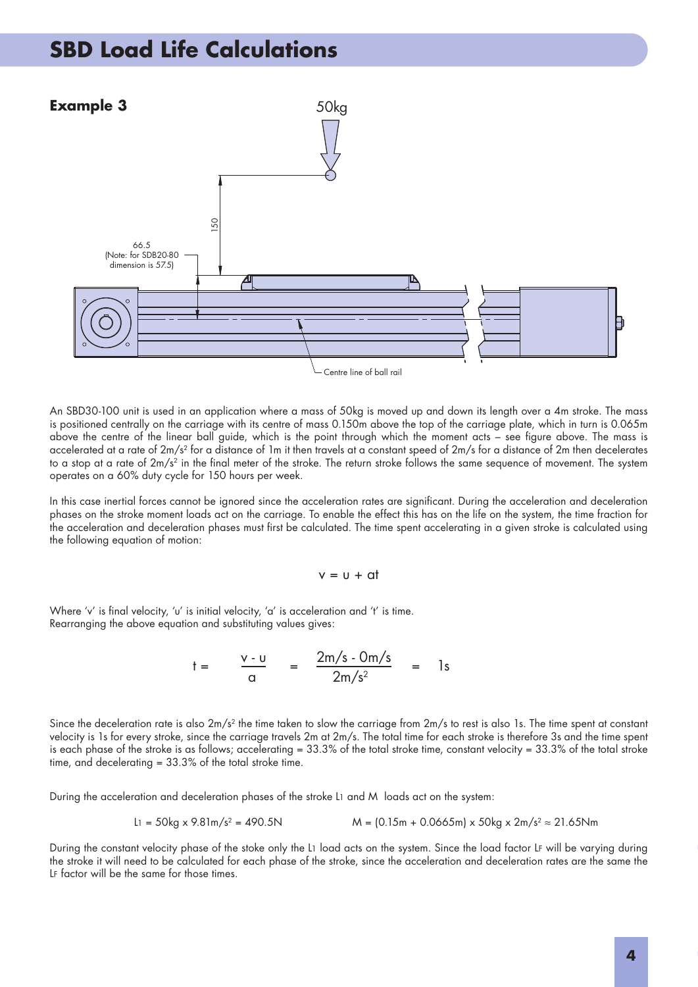

An SBD30-100 unit is used in an application where a mass of 50kg is moved up and down its length over a 4m stroke. The mass is positioned centrally on the carriage with its centre of mass 0.150m above the top of the carriage plate, which in turn is 0.065m above the centre of the linear ball guide, which is the point through which the moment acts – see figure above. The mass is accelerated at a rate of 2m/s2 for a distance of 1m it then travels at a constant speed of 2m/s for a distance of 2m then decelerates to a stop at a rate of  $2m/s^2$  in the final meter of the stroke. The return stroke follows the same sequence of movement. The system operates on a 60% duty cycle for 150 hours per week.

In this case inertial forces cannot be ignored since the acceleration rates are significant. During the acceleration and deceleration phases on the stroke moment loads act on the carriage. To enable the effect this has on the life on the system, the time fraction for the acceleration and deceleration phases must first be calculated. The time spent accelerating in a given stroke is calculated using the following equation of motion:

$$
v = u + at
$$

Where 'v' is final velocity, 'u' is initial velocity, 'a' is acceleration and 't' is time. Rearranging the above equation and substituting values gives:

$$
t = \frac{v - u}{\alpha} = \frac{2m/s - 0m/s}{2m/s^2} = 1s
$$

Since the deceleration rate is also  $2m/s^2$  the time taken to slow the carriage from  $2m/s$  to rest is also 1s. The time spent at constant velocity is 1s for every stroke, since the carriage travels 2m at 2m/s. The total time for each stroke is therefore 3s and the time spent is each phase of the stroke is as follows; accelerating = 33.3% of the total stroke time, constant velocity = 33.3% of the total stroke time, and decelerating = 33.3% of the total stroke time.

During the acceleration and deceleration phases of the stroke L1 and M loads act on the system:

$$
L1 = 50 \text{kg} \times 9.81 \text{m/s}^2 = 490.5 \text{N}
$$
\n
$$
M = \{0.15 \text{m} + 0.0665 \text{m}\} \times 50 \text{kg} \times 2 \text{m/s}^2 \approx 21.65 \text{Nm}
$$

During the constant velocity phase of the stoke only the L1 load acts on the system. Since the load factor LF will be varying during the stroke it will need to be calculated for each phase of the stroke, since the acceleration and deceleration rates are the same the LF factor will be the same for those times.